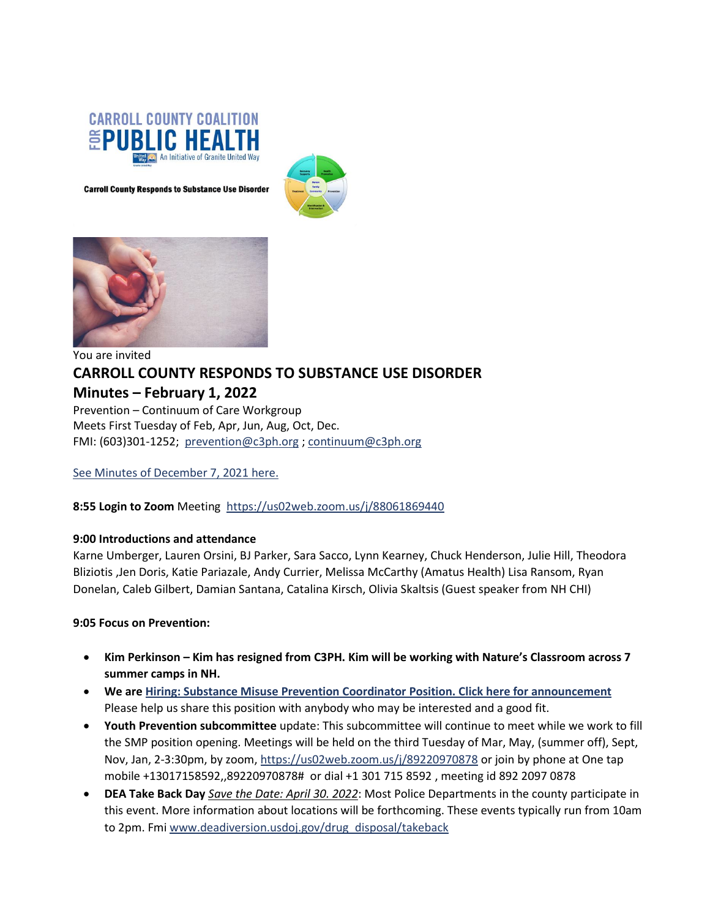

**Carroll County Responds to Substance Use Disorder** 





# You are invited **CARROLL COUNTY RESPONDS TO SUBSTANCE USE DISORDER Minutes – February 1, 2022** Prevention – Continuum of Care Workgroup

Meets First Tuesday of Feb, Apr, Jun, Aug, Oct, Dec. FMI: (603)301-1252; [prevention@c3ph.org](mailto:prevention@c3ph.org) [; continuum@c3ph.org](mailto:continuum@c3ph.org)

See Minutes of [December 7, 2021](http://www.c3ph.org/assets/pdf/Minutes_SUD_Prevention_CoC_Work_Group_2021_08_03.pdf) here.

**8:55 Login to Zoom** Meeting <https://us02web.zoom.us/j/88061869440>

#### **9:00 Introductions and attendance**

Karne Umberger, Lauren Orsini, BJ Parker, Sara Sacco, Lynn Kearney, Chuck Henderson, Julie Hill, Theodora Bliziotis ,Jen Doris, Katie Pariazale, Andy Currier, Melissa McCarthy (Amatus Health) Lisa Ransom, Ryan Donelan, Caleb Gilbert, Damian Santana, Catalina Kirsch, Olivia Skaltsis (Guest speaker from NH CHI)

#### **9:05 Focus on Prevention:**

- **Kim Perkinson – Kim has resigned from C3PH. Kim will be working with Nature's Classroom across 7 summer camps in NH.**
- **We are [Hiring: Substance Misuse Prevention Coordinator Position. Click](https://graniteunitedway.bamboohr.com/jobs/view.php?id=30&source=aWQ9MjM%3D) here for announcement** Please help us share this position with anybody who may be interested and a good fit.
- **Youth Prevention subcommittee** update: This subcommittee will continue to meet while we work to fill the SMP position opening. Meetings will be held on the third Tuesday of Mar, May, (summer off), Sept, Nov, Jan, 2-3:30pm, by zoom[, https://us02web.zoom.us/j/89220970878](https://us02web.zoom.us/j/89220970878) or join by phone at One tap mobile +13017158592,,89220970878# or dial +1 301 715 8592 , meeting id 892 2097 0878
- **DEA Take Back Day** *Save the Date: April 30. 2022*: Most Police Departments in the county participate in this event. More information about locations will be forthcoming. These events typically run from 10am to 2pm. Fmi [www.deadiversion.usdoj.gov/drug\\_disposal/takeback](http://www.deadiversion.usdoj.gov/drug_disposal/takeback)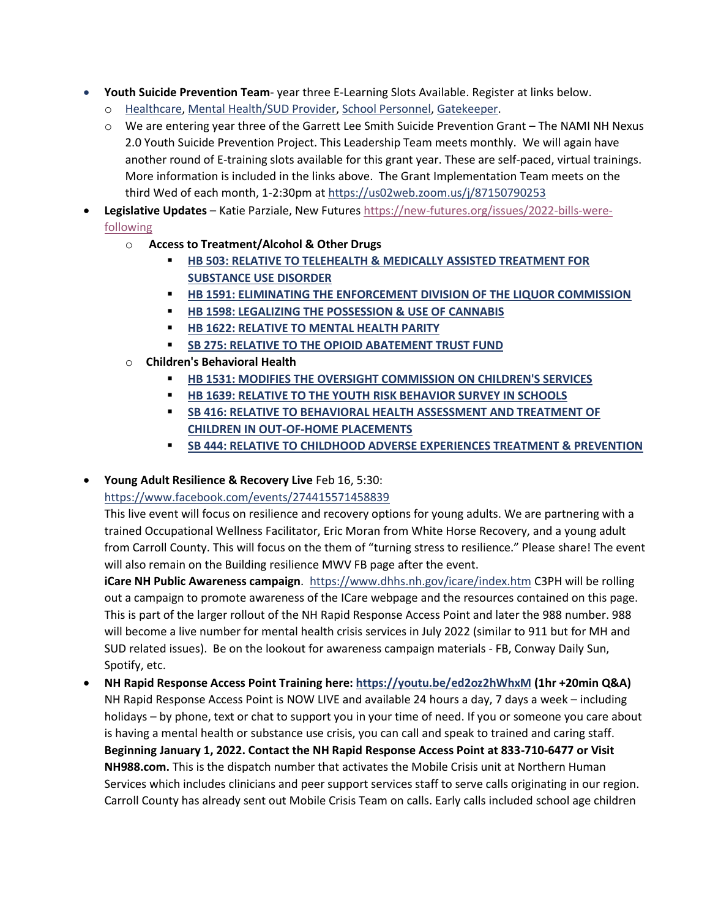- **Youth Suicide Prevention Team** year three E-Learning Slots Available. Register at links below[.](https://docs.google.com/forms/d/e/1FAIpQLSeo6XeWRPcPFZGuOXYk-wdOp6LRqTrmC40yqjrajFPomIAPpA/viewform?usp=sf_link)
	- o [Healthcare,](https://docs.google.com/forms/d/e/1FAIpQLSeo6XeWRPcPFZGuOXYk-wdOp6LRqTrmC40yqjrajFPomIAPpA/viewform?usp=sf_link) [Mental Health/SUD Provider,](https://docs.google.com/forms/d/e/1FAIpQLSfw2oLCrKLIrClB7FhH5mOfqjh3denVPqRUVMc2tfMoZnBbwQ/viewform?usp=sf_link) [School Personnel,](https://docs.google.com/forms/d/e/1FAIpQLSfyuneY39XsTgpD9Ht9xRzT8bbVmBLFN8N--BVHkM8ttkoCKA/viewform?usp=sf_link) [Gatekeeper.](https://docs.google.com/forms/d/e/1FAIpQLScNFgENE-LjEX-w-X2qKOfWWyAINxXljYpAZQcI2ydQr8-tfA/viewform?usp=sf_link)
	- o We are entering year three of the Garrett Lee Smith Suicide Prevention Grant The NAMI NH Nexus 2.0 Youth Suicide Prevention Project. This Leadership Team meets monthly. We will again have another round of E-training slots available for this grant year. These are self-paced, virtual trainings. More information is included in the links above. The Grant Implementation Team meets on the third Wed of each month, 1-2:30pm at<https://us02web.zoom.us/j/87150790253>

• **Legislative Updates** – Katie Parziale, New Futures [https://new-futures.org/issues/2022-bills-were](https://new-futures.org/issues/2022-bills-were-following)[following](https://new-futures.org/issues/2022-bills-were-following)

- o **Access to Treatment/Alcohol & Other Drugs**
	- **HB 503: RELATIVE TO TELEHEALTH & MEDICALLY ASSISTED TREATMENT FOR [SUBSTANCE USE DISORDER](https://new-futures.org/issues/2022-bills-were-following#collapse-accordion-909-1)**
	- **E** [HB 1591: ELIMINATING THE ENFORCEMENT DIVISION OF THE LIQUOR COMMISSION](https://new-futures.org/issues/2022-bills-were-following#collapse-accordion-909-2)
	- **[HB 1598: LEGALIZING THE POSSESSION & USE OF](https://new-futures.org/issues/2022-bills-were-following#collapse-accordion-909-3) CANNABIS**
	- **[HB 1622: RELATIVE TO MENTAL HEALTH PARITY](https://new-futures.org/issues/2022-bills-were-following#collapse-accordion-909-4)**
	- **[SB 275: RELATIVE TO THE OPIOID ABATEMENT TRUST FUND](https://new-futures.org/issues/2022-bills-were-following#collapse-accordion-909-5)**
- o **Children's Behavioral Health**
	- **[HB 1531: MODIFIES THE OVERSIGHT COMMISSION ON CHILDREN'S SERVICES](https://new-futures.org/issues/2022-bills-were-following#collapse-accordion-915-1)**
	- **[HB 1639: RELATIVE TO THE YOUTH RISK BEHAVIOR SURVEY IN SCHOOLS](https://new-futures.org/issues/2022-bills-were-following#collapse-accordion-915-2)**
	- **EXECTE 15 AND THE SEX 15 AT A 416 FM ASSESSMENT AND TREATMENT OF [CHILDREN IN OUT-OF-HOME PLACEMENTS](https://new-futures.org/issues/2022-bills-were-following#collapse-accordion-915-3)**
	- **E** [SB 444: RELATIVE TO CHILDHOOD ADVERSE EXPERIENCES TREATMENT & PREVENTION](https://new-futures.org/issues/2022-bills-were-following#collapse-accordion-915-4)

#### • **Young Adult Resilience & Recovery Live** Feb 16, 5:30:

#### <https://www.facebook.com/events/274415571458839>

This live event will focus on resilience and recovery options for young adults. We are partnering with a trained Occupational Wellness Facilitator, Eric Moran from White Horse Recovery, and a young adult from Carroll County. This will focus on the them of "turning stress to resilience." Please share! The event will also remain on the Building resilience MWV FB page after the event.

**iCare NH Public Awareness campaign**. <https://www.dhhs.nh.gov/icare/index.htm> C3PH will be rolling out a campaign to promote awareness of the ICare webpage and the resources contained on this page. This is part of the larger rollout of the NH Rapid Response Access Point and later the 988 number. 988 will become a live number for mental health crisis services in July 2022 (similar to 911 but for MH and SUD related issues). Be on the lookout for awareness campaign materials - FB, Conway Daily Sun, Spotify, etc.

• **NH Rapid Response Access Point Training here:<https://youtu.be/ed2oz2hWhxM> (1hr +20min Q&A)** NH Rapid Response Access Point is NOW LIVE and available 24 hours a day, 7 days a week – including holidays – by phone, text or chat to support you in your time of need. If you or someone you care about is having a mental health or substance use crisis, you can call and speak to trained and caring staff. **Beginning January 1, 2022. Contact the NH Rapid Response Access Point at 833-710-6477 or Visit NH988.com.** This is the dispatch number that activates the Mobile Crisis unit at Northern Human Services which includes clinicians and peer support services staff to serve calls originating in our region. Carroll County has already sent out Mobile Crisis Team on calls. Early calls included school age children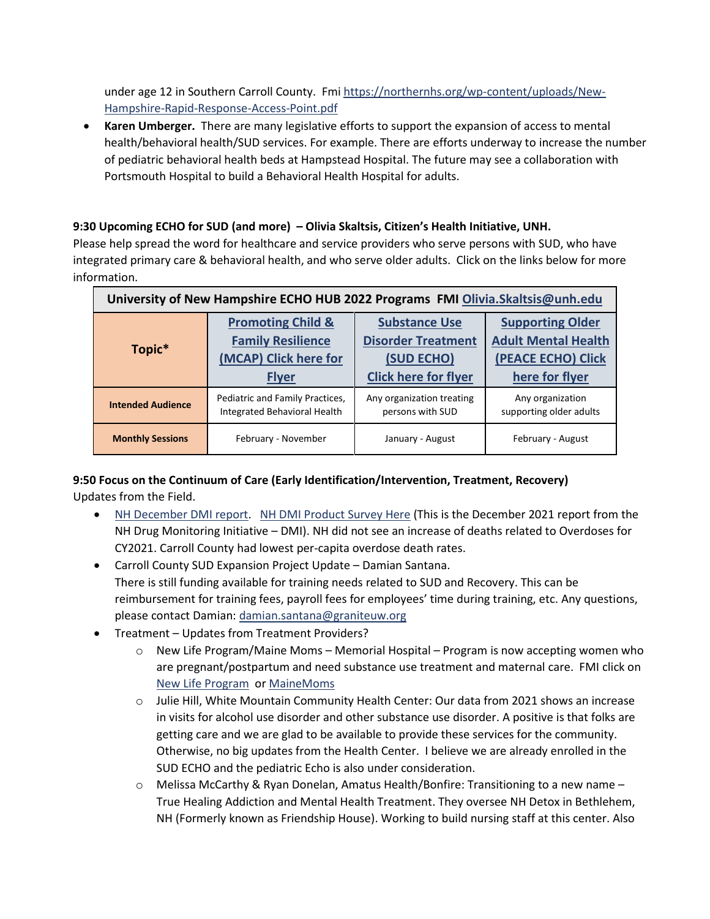under age 12 in Southern Carroll County. Fm[i https://northernhs.org/wp-content/uploads/New-](https://northernhs.org/wp-content/uploads/New-Hampshire-Rapid-Response-Access-Point.pdf)[Hampshire-Rapid-Response-Access-Point.pdf](https://northernhs.org/wp-content/uploads/New-Hampshire-Rapid-Response-Access-Point.pdf)

• **Karen Umberger.** There are many legislative efforts to support the expansion of access to mental health/behavioral health/SUD services. For example. There are efforts underway to increase the number of pediatric behavioral health beds at Hampstead Hospital. The future may see a collaboration with Portsmouth Hospital to build a Behavioral Health Hospital for adults.

## **9:30 Upcoming ECHO for SUD (and more) – Olivia Skaltsis, Citizen's Health Initiative, UNH.**

Please help spread the word for healthcare and service providers who serve persons with SUD, who have integrated primary care & behavioral health, and who serve older adults. Click on the links below for more information.

| University of New Hampshire ECHO HUB 2022 Programs FMI Olivia.Skaltsis@unh.edu |                                 |                             |                            |
|--------------------------------------------------------------------------------|---------------------------------|-----------------------------|----------------------------|
| Topic*                                                                         | <b>Promoting Child &amp;</b>    | <b>Substance Use</b>        | <b>Supporting Older</b>    |
|                                                                                | <b>Family Resilience</b>        | <b>Disorder Treatment</b>   | <b>Adult Mental Health</b> |
|                                                                                | (MCAP) Click here for           | (SUD ECHO)                  | (PEACE ECHO) Click         |
|                                                                                | <b>Flyer</b>                    | <b>Click here for flyer</b> | here for flyer             |
| <b>Intended Audience</b>                                                       | Pediatric and Family Practices, | Any organization treating   | Any organization           |
|                                                                                | Integrated Behavioral Health    | persons with SUD            | supporting older adults    |
| <b>Monthly Sessions</b>                                                        | February - November             | January - August            | February - August          |

### **9:50 Focus on the Continuum of Care (Early Identification/Intervention, Treatment, Recovery)** Updates from the Field.

- [NH December DMI report.](http://www.c3ph.org/assets/pdf/NH_DMI_Drug_Environment_Report_-_October_2021_-_UNCLASSIFIED_(2021-5040).pdf) [NH DMI Product Survey Here](http://www.c3ph.org/assets/pdf/NH_Info_and_Analysis_Center_Partner_Feedback_SURVEY_Sept_2021_.pdf) (This is the December 2021 report from the NH Drug Monitoring Initiative – DMI). NH did not see an increase of deaths related to Overdoses for CY2021. Carroll County had lowest per-capita overdose death rates.
- Carroll County SUD Expansion Project Update Damian Santana. There is still funding available for training needs related to SUD and Recovery. This can be reimbursement for training fees, payroll fees for employees' time during training, etc. Any questions, please contact Damian: [damian.santana@graniteuw.org](mailto:damian.santana@graniteuw.org)
- Treatment Updates from Treatment Providers?
	- o New Life Program/Maine Moms Memorial Hospital Program is now accepting women who are pregnant/postpartum and need substance use treatment and maternal care. FMI click on [New Life Program](http://www.c3ph.org/assets/pdf/New_Life_Program_2022_Webpage_Flyer.pdf) or [MaineMoms](http://www.c3ph.org/assets/pdf/MaineMOM-factsheet-7.8_.21_.pdf)
	- o Julie Hill, White Mountain Community Health Center: Our data from 2021 shows an increase in visits for alcohol use disorder and other substance use disorder. A positive is that folks are getting care and we are glad to be available to provide these services for the community. Otherwise, no big updates from the Health Center. I believe we are already enrolled in the SUD ECHO and the pediatric Echo is also under consideration.
	- o Melissa McCarthy & Ryan Donelan, Amatus Health/Bonfire: Transitioning to a new name True Healing Addiction and Mental Health Treatment. They oversee NH Detox in Bethlehem, NH (Formerly known as Friendship House). Working to build nursing staff at this center. Also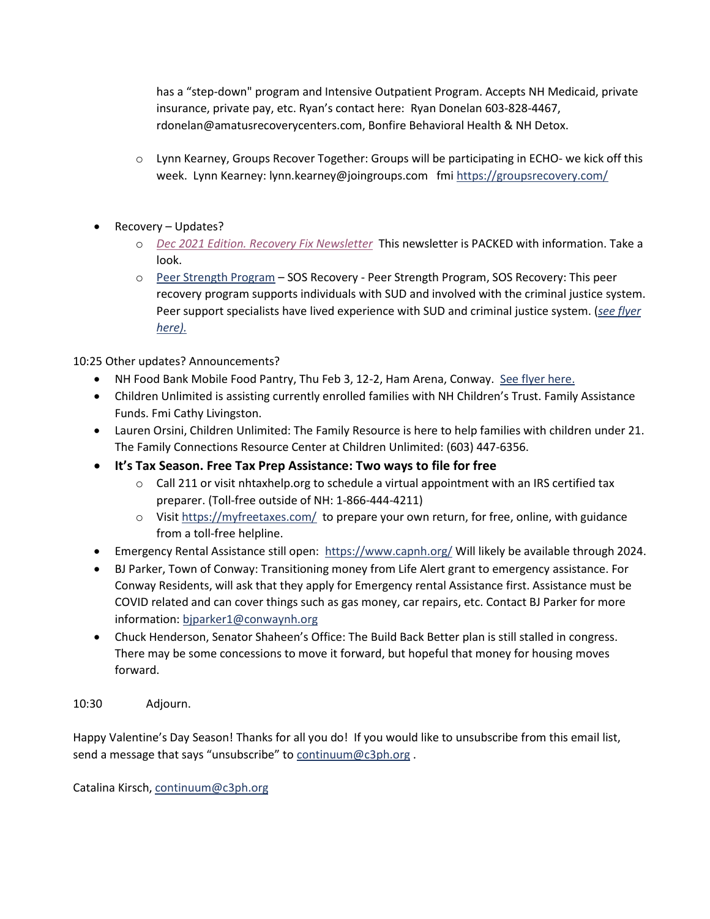has a "step-down" program and Intensive Outpatient Program. Accepts NH Medicaid, private insurance, private pay, etc. Ryan's contact here: Ryan Donelan 603-828-4467, rdonelan@amatusrecoverycenters.com, Bonfire Behavioral Health & NH Detox.

- o Lynn Kearney, Groups Recover Together: Groups will be participating in ECHO- we kick off this week. Lynn Kearney: lynn.kearney@joingroups.com fm[i https://groupsrecovery.com/](https://groupsrecovery.com/)
- Recovery Updates?
	- o *[Dec 2021 Edition. Recovery Fix Newsletter](https://nhrecoveryhub.us20.list-manage.com/track/click?u=ff337d5a901e53a80b978f4b4&id=8e8672aa7d&e=5c82b43126)* This newsletter is PACKED with information. Take a look.
	- o [Peer Strength Program](http://www.c3ph.org/assets/pdf/Peer_Strength_Flyer_2022_.pdf) SOS Recovery Peer Strength Program, SOS Recovery: This peer recovery program supports individuals with SUD and involved with the criminal justice system. Peer support specialists have lived experience with SUD and criminal justice system. (*[see flyer](http://www.c3ph.org/assets/pdf/Peer_Strength_Flyer_2022_.pdf)  [here\).](http://www.c3ph.org/assets/pdf/Peer_Strength_Flyer_2022_.pdf)*

10:25 Other updates? Announcements?

- NH Food Bank Mobile Food Pantry, Thu Feb 3, 12-2, Ham Arena, Conway. [See flyer here.](http://www.c3ph.org/assets/pdf/Conway_Mobile_Food_Pantry_2022_02_03.pdf)
- Children Unlimited is assisting currently enrolled families with NH Children's Trust. Family Assistance Funds. Fmi Cathy Livingston.
- Lauren Orsini, Children Unlimited: The Family Resource is here to help families with children under 21. The Family Connections Resource Center at Children Unlimited: (603) 447-6356.
- **It's Tax Season. Free Tax Prep Assistance: Two ways to file for free**
	- $\circ$  Call 211 or visit nhtaxhelp.org to schedule a virtual appointment with an IRS certified tax preparer. (Toll-free outside of NH: 1-866-444-4211)
	- $\circ$  Visit<https://myfreetaxes.com/> to prepare your own return, for free, online, with guidance from a toll-free helpline.
- Emergency Rental Assistance still open: <https://www.capnh.org/> Will likely be available through 2024.
- BJ Parker, Town of Conway: Transitioning money from Life Alert grant to emergency assistance. For Conway Residents, will ask that they apply for Emergency rental Assistance first. Assistance must be COVID related and can cover things such as gas money, car repairs, etc. Contact BJ Parker for more information: [bjparker1@conwaynh.org](mailto:%3cbjparker1@conwaynh.org)
- Chuck Henderson, Senator Shaheen's Office: The Build Back Better plan is still stalled in congress. There may be some concessions to move it forward, but hopeful that money for housing moves forward.

10:30 Adjourn.

Happy Valentine's Day Season! Thanks for all you do! If you would like to unsubscribe from this email list, send a message that says "unsubscribe" to [continuum@c3ph.org](mailto:continuum@c3ph.org).

Catalina Kirsch[, continuum@c3ph.org](mailto:continuum@c3ph.org)